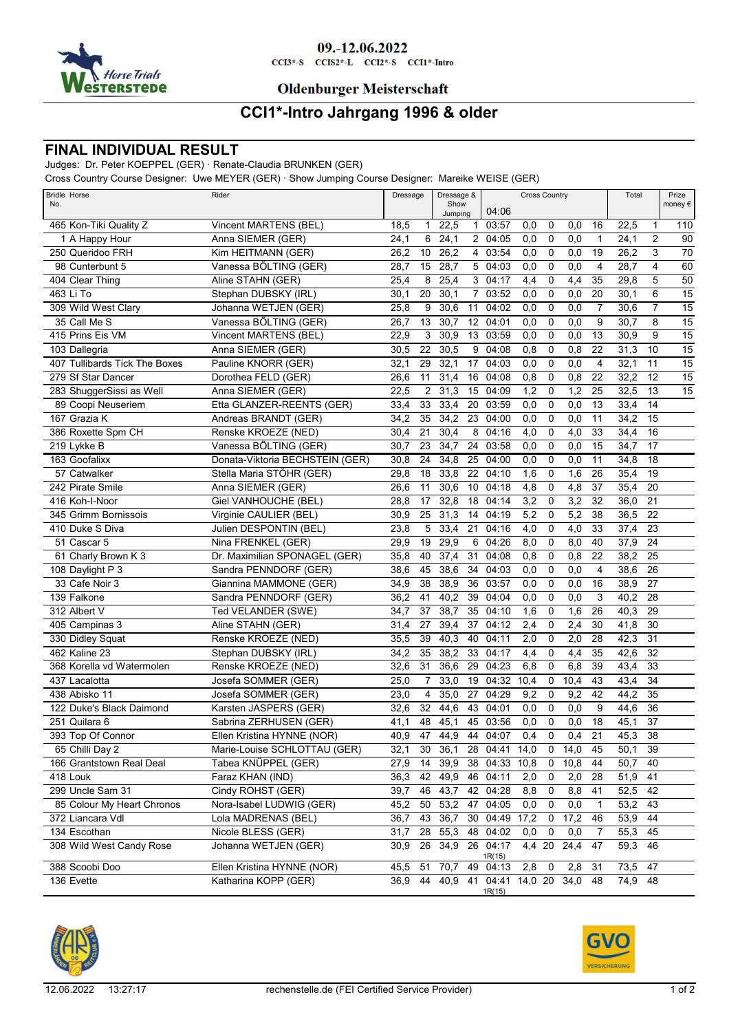

## 09.-12.06.2022

 $CCI3*-S$   $CCI52*-L$   $CCI2*-S$   $CCI1*-Intro$ 

#### **Oldenburger Meisterschaft**

### **CCI1\*-Intro Jahrgang 1996 & older**

### **FINAL INDIVIDUAL RESULT**

Judges: Dr. Peter KOEPPEL (GER) · Renate-Claudia BRUNKEN (GER)

Cross Country Course Designer: Uwe MEYER (GER) · Show Jumping Course Designer: Mareike WEISE (GER)

| Bridle Horse<br>No.           | Rider<br>Dressage               |                        | Dressage &<br>Show |         |                | <b>Cross Country</b> | Total            |             | Prize<br>money € |                 |             |                 |                 |
|-------------------------------|---------------------------------|------------------------|--------------------|---------|----------------|----------------------|------------------|-------------|------------------|-----------------|-------------|-----------------|-----------------|
|                               |                                 |                        |                    | Jumping |                | 04:06                |                  |             |                  |                 |             |                 |                 |
| 465 Kon-Tiki Quality Z        | Vincent MARTENS (BEL)           | 18,5<br>$\mathbf{1}$   |                    | 22,5    |                | 1 03:57              | 0,0              | 0           | 0,0              | 16              | 22,5        | 1               | 110             |
| 1 A Happy Hour                | Anna SIEMER (GER)               | 6<br>24,1              |                    | 24,1    |                | 2 04:05              | 0,0              | $\mathbf 0$ | 0,0              | $\mathbf{1}$    | 24,1        | $\overline{2}$  | 90              |
| 250 Queridoo FRH              | Kim HEITMANN (GER)              | 26,2<br>10             |                    | 26,2    |                | 4 03:54              | $\overline{0,0}$ | $\mathbf 0$ | 0,0              | 19              | 26,2        | 3               | 70              |
| 98 Cunterbunt 5               | Vanessa BÖLTING (GER)           | 28,7<br>15             |                    | 28,7    | 5              | 04:03                | 0,0              | $\mathbf 0$ | 0,0              | 4               | 28,7        | $\overline{4}$  | $\overline{60}$ |
| 404 Clear Thing               | Aline STAHN (GER)               | 25,4<br>8              |                    | 25,4    |                | 3 04:17              | 4,4              | 0           | 4,4              | 35              | 29,8        | 5               | 50              |
| 463 Li To                     | Stephan DUBSKY (IRL)            | 20<br>30,1             |                    | 30,1    | $\overline{7}$ | 03:52                | 0,0              | $\mathbf 0$ | 0,0              | 20              | 30,1        | 6               | 15              |
| 309 Wild West Clary           | Johanna WETJEN (GER)            | 25,8<br>9              |                    | 30,6    | 11             | 04:02                | 0,0              | $\mathbf 0$ | 0,0              | $\overline{7}$  | 30,6        | $\overline{7}$  | $\overline{15}$ |
| 35 Call Me S                  | Vanessa BÖLTING (GER)           | 26,7<br>13             |                    | 30,7    | 12             | 04:01                | 0,0              | $\mathbf 0$ | 0,0              | 9               | 30,7        | 8               | $\overline{15}$ |
| 415 Prins Eis VM              | Vincent MARTENS (BEL)           | 3<br>22,9              |                    | 30,9    | 13             | 03:59                | 0,0              | $\mathbf 0$ | 0,0              | 13              | 30,9        | 9               | 15              |
| 103 Dallegria                 | Anna SIEMER (GER)               | 30,5<br>22             |                    | 30,5    | 9              | 04:08                | 0,8              | $\mathbf 0$ | 0,8              | 22              | 31,3        | 10              | $\overline{15}$ |
| 407 Tullibards Tick The Boxes | Pauline KNORR (GER)             | 29<br>32,1             |                    | 32,1    | 17             | 04:03                | $\overline{0,0}$ | $\mathbf 0$ | 0,0              | 4               | 32,1        | 11              | $\overline{15}$ |
| 279 Sf Star Dancer            | Dorothea FELD (GER)             | 26,6<br>11             |                    | 31,4    | 16             | 04:08                | 0,8              | $\mathbf 0$ | 0,8              | 22              | 32,2        | $\overline{12}$ | $\overline{15}$ |
| 283 ShuggerSissi as Well      | Anna SIEMER (GER)               | $\overline{2}$<br>22,5 |                    | 31,3    | 15             | 04:09                | 1,2              | 0           | 1,2              | 25              | 32,5        | 13              | 15              |
| 89 Coopi Neuseriem            | Etta GLANZER-REENTS (GER)       | 33<br>33,4             |                    | 33,4    | 20             | 03:59                | 0,0              | $\mathbf 0$ | 0,0              | 13              | 33,4        | 14              |                 |
| 167 Grazia K                  | Andreas BRANDT (GER)            | 35<br>34,2             |                    | 34,2    | 23             | 04:00                | 0,0              | $\mathbf 0$ | 0,0              | 11              | 34,2        | 15              |                 |
| 386 Roxette Spm CH            | Renske KROEZE (NED)             | 21<br>30,4             |                    | 30,4    | 8              | 04:16                | 4,0              | $\mathbf 0$ | $\overline{4,0}$ | 33              | 34,4        | 16              |                 |
| 219 Lykke B                   | Vanessa BÖLTING (GER)           | 23<br>30,7             |                    | 34,7    | 24             | 03:58                | 0,0              | $\mathbf 0$ | 0,0              | 15              | 34,7        | 17              |                 |
| 163 Goofalixx                 | Donata-Viktoria BECHSTEIN (GER) | 30,8<br>24             |                    | 34,8    | 25             | 04:00                | 0,0              | $\mathbf 0$ | 0,0              | 11              | 34,8        | $\overline{18}$ |                 |
| 57 Catwalker                  | Stella Maria STÖHR (GER)        | 29,8<br>18             |                    | 33,8    | 22             | 04:10                | 1,6              | 0           | 1,6              | 26              | 35,4        | 19              |                 |
| 242 Pirate Smile              | Anna SIEMER (GER)               | 26,6<br>11             |                    | 30,6    | 10             | 04:18                | 4,8              | 0           | 4,8              | 37              | 35,4        | $\overline{20}$ |                 |
| 416 Koh-I-Noor                | Giel VANHOUCHE (BEL)            | 28,8<br>17             |                    | 32,8    | 18             | 04:14                | 3,2              | 0           | 3,2              | 32              | 36,0        | $\overline{21}$ |                 |
| 345 Grimm Bornissois          | Virginie CAULIER (BEL)          | 25<br>30,9             |                    | 31,3    | 14             | 04:19                | 5,2              | $\mathbf 0$ | 5,2              | 38              | 36,5        | $\overline{22}$ |                 |
| 410 Duke S Diva               | Julien DESPONTIN (BEL)          | 5<br>23,8              |                    | 33,4    | 21             | 04:16                | 4,0              | $\mathbf 0$ | 4,0              | 33              | 37,4        | $\overline{23}$ |                 |
| 51 Cascar 5                   | Nina FRENKEL (GER)              | 29,9<br>19             |                    | 29,9    | 6              | 04:26                | 8,0              | 0           | 8,0              | 40              | 37,9        | 24              |                 |
| 61 Charly Brown K 3           | Dr. Maximilian SPONAGEL (GER)   | 35,8<br>40             |                    | 37,4    | 31             | 04:08                | 0,8              | 0           | 0,8              | 22              | 38,2        | $\overline{25}$ |                 |
| 108 Daylight P 3              | Sandra PENNDORF (GER)           | 45<br>38,6             |                    | 38,6    | 34             | 04:03                | 0,0              | $\mathbf 0$ | 0,0              | 4               | 38,6        | 26              |                 |
| 33 Cafe Noir 3                | Giannina MAMMONE (GER)          | 34,9<br>38             |                    | 38,9    | 36             | 03:57                | 0,0              | $\mathbf 0$ | 0,0              | 16              | 38,9        | 27              |                 |
| 139 Falkone                   | Sandra PENNDORF (GER)           | 36,2<br>41             |                    | 40,2    | 39             | 04:04                | 0,0              | 0           | 0,0              | 3               | 40,2        | 28              |                 |
| 312 Albert V                  | Ted VELANDER (SWE)              | 37<br>34,7             |                    | 38,7    | 35             | 04:10                | 1,6              | 0           | 1,6              | 26              | 40,3        | $\overline{29}$ |                 |
| 405 Campinas 3                | Aline STAHN (GER)               | 27<br>31,4             |                    | 39,4    | 37             | 04:12                | 2,4              | $\mathbf 0$ | 2,4              | 30              | 41,8        | $\overline{30}$ |                 |
| 330 Didley Squat              | Renske KROEZE (NED)             | 39<br>35,5             |                    | 40,3    | 40             | 04:11                | 2,0              | $\mathbf 0$ | 2,0              | 28              | 42,3        | 31              |                 |
| 462 Kaline 23                 | Stephan DUBSKY (IRL)            | 34,2<br>35             |                    | 38,2    | 33             | 04:17                | 4,4              | 0           | 4,4              | 35              | 42,6        | 32              |                 |
| 368 Korella vd Watermolen     | Renske KROEZE (NED)             | 31<br>32,6             |                    | 36,6    | 29             | 04:23                | 6,8              | $\mathbf 0$ | 6,8              | 39              | 43,4        | $\overline{33}$ |                 |
| 437 Lacalotta                 | Josefa SOMMER (GER)             | 25,0<br>7              |                    | 33,0    | 19             | 04:32                | 10,4             | $\mathbf 0$ | 10,4             | 43              | 43,4        | $\overline{34}$ |                 |
| 438 Abisko 11                 | Josefa SOMMER (GER)             | 4<br>23,0              |                    | 35,0    | 27             | 04:29                | 9,2              | 0           | 9,2              | 42              | 44,2        | 35              |                 |
| 122 Duke's Black Daimond      | Karsten JASPERS (GER)           | 32<br>32,6             |                    | 44,6    | 43             | 04:01                | 0,0              | 0           | 0,0              | 9               | 44,6        | 36              |                 |
| 251 Quilara 6                 | Sabrina ZERHUSEN (GER)          | 48<br>41,1             |                    | 45,1    | 45             | 03:56                | 0,0              | 0           | 0,0              | 18              | 45,1        | $\overline{37}$ |                 |
| 393 Top Of Connor             | Ellen Kristina HYNNE (NOR)      | 47<br>40,9             |                    | 44,9    | 44             | 04:07                | 0,4              | $\mathbf 0$ | 0.4              | $\overline{21}$ | 45,3        | $\overline{38}$ |                 |
| 65 Chilli Day 2               | Marie-Louise SCHLOTTAU (GER)    | 30<br>32,1             |                    | 36,1    |                | 28 04:41 14,0        |                  | 0           | 14,0             | 45              | 50,1        | -39             |                 |
| 166 Grantstown Real Deal      | Tabea KNÜPPEL (GER)             | 27,9<br>14             |                    | 39,9    | 38             | 04:33                | 10,8             | 0           | 10,8             | 44              | 50,7        | 40              |                 |
| 418 Louk                      | Faraz KHAN (IND)                | 36,3<br>42             |                    | 49,9    |                | 46 04:11             | 2,0              | 0           | 2,0              | 28              | 51,9        | 41              |                 |
| 299 Uncle Sam 31              | Cindy ROHST (GER)               | 39,7<br>46             |                    | 43,7    | 42             | 04:28                | 8,8              | 0           | 8,8              | 41              | 52,5        | 42              |                 |
| 85 Colour My Heart Chronos    | Nora-Isabel LUDWIG (GER)        | 45,2<br>50             |                    | 53,2    | 47             | 04:05                | 0,0              | 0           | 0,0              | 1               | 53,2        | 43              |                 |
| 372 Liancara Vdl              | Lola MADRENAS (BEL)             | 43<br>36,7             |                    | 36,7    | 30             | 04:49                | 17,2             | 0           | 17,2             | 46              | 53,9        | 44              |                 |
| 134 Escothan                  | Nicole BLESS (GER)              | 28<br>31,7             |                    |         |                | 55,3 48 04:02        | 0,0              | 0           | 0,0              | 7               | 55,3        | 45              |                 |
| 308 Wild West Candy Rose      | Johanna WETJEN (GER)            | 26<br>30,9             |                    | 34,9    |                | 26 04:17             | 4,4 20           |             | 24,4             | 47              | 59,3        | 46              |                 |
|                               |                                 |                        |                    |         |                | 1R(15)               |                  |             |                  |                 |             |                 |                 |
| 388 Scoobi Doo                | Ellen Kristina HYNNE (NOR)      | 51<br>45,5             |                    | 70,7    |                | 49 04:13             | 2,8              | $\mathbf 0$ | 2,8              | 31              | $73,5$ $47$ |                 |                 |
| 136 Evette                    | Katharina KOPP (GER)            | 44<br>36,9             |                    | 40,9    |                | 41 04:41<br>1R(15)   | 14,0 20          |             | 34,0             | 48              | 74,9 48     |                 |                 |